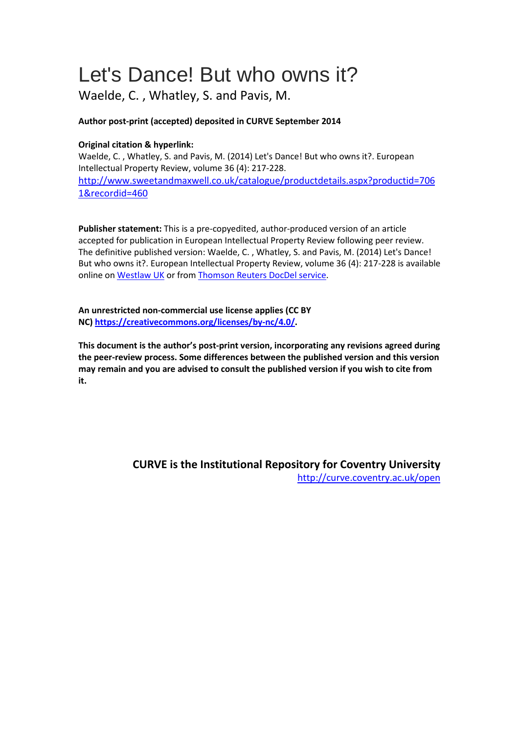# Let's Dance! But who owns it?

Waelde, C. , Whatley, S. and Pavis, M.

## **Author post-print (accepted) deposited in CURVE September 2014**

## **Original citation & hyperlink:**

Waelde, C. , Whatley, S. and Pavis, M. (2014) Let's Dance! But who owns it?. European Intellectual Property Review, volume 36 (4): 217-228.

[http://www.sweetandmaxwell.co.uk/catalogue/productdetails.aspx?productid=706](http://www.sweetandmaxwell.co.uk/catalogue/productdetails.aspx?productid=7061&recordid=460) [1&recordid=460](http://www.sweetandmaxwell.co.uk/catalogue/productdetails.aspx?productid=7061&recordid=460)

**Publisher statement:** This is a pre-copyedited, author-produced version of an article accepted for publication in European Intellectual Property Review following peer review. The definitive published version: Waelde, C. , Whatley, S. and Pavis, M. (2014) Let's Dance! But who owns it?. European Intellectual Property Review, volume 36 (4): 217-228 is available online o[n Westlaw UK](http://legalresearch.westlaw.co.uk/) or fro[m Thomson Reuters DocDel service.](http://www.sweetandmaxwell.co.uk/our-businesses/docdel.aspx)

**An unrestricted non-commercial use license applies (CC BY NC) [https://creativecommons.org/licenses/by-nc/4.0/.](https://creativecommons.org/licenses/by-nc/4.0/)** 

**This document is the author's post-print version, incorporating any revisions agreed during the peer-review process. Some differences between the published version and this version may remain and you are advised to consult the published version if you wish to cite from it.** 

> **CURVE is the Institutional Repository for Coventry University** <http://curve.coventry.ac.uk/open>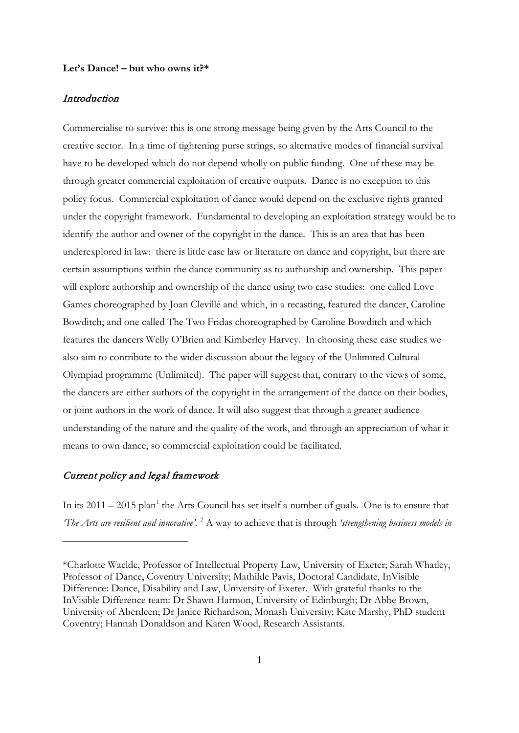#### **Let's Dance! – but who owns it?\***

#### Introduction

Commercialise to survive: this is one strong message being given by the Arts Council to the creative sector. In a time of tightening purse strings, so alternative modes of financial survival have to be developed which do not depend wholly on public funding. One of these may be through greater commercial exploitation of creative outputs. Dance is no exception to this policy focus. Commercial exploitation of dance would depend on the exclusive rights granted under the copyright framework. Fundamental to developing an exploitation strategy would be to identify the author and owner of the copyright in the dance. This is an area that has been underexplored in law: there is little case law or literature on dance and copyright, but there are certain assumptions within the dance community as to authorship and ownership. This paper will explore authorship and ownership of the dance using two case studies: one called Love Games choreographed by Joan Clevillé and which, in a recasting, featured the dancer, Caroline Bowditch; and one called The Two Fridas choreographed by Caroline Bowditch and which features the dancers Welly O'Brien and Kimberley Harvey. In choosing these case studies we also aim to contribute to the wider discussion about the legacy of the Unlimited Cultural Olympiad programme (Unlimited). The paper will suggest that, contrary to the views of some, the dancers are either authors of the copyright in the arrangement of the dance on their bodies, or joint authors in the work of dance. It will also suggest that through a greater audience understanding of the nature and the quality of the work, and through an appreciation of what it means to own dance, so commercial exploitation could be facilitated.

#### Current policy and legal framework

-

<span id="page-1-2"></span><span id="page-1-1"></span>In its  $2011 - 2015$  $2011 - 2015$  $2011 - 2015$  plan<sup>1</sup> the Arts Council has set itself a number of goals. One is to ensure that *The Arts are resilient and innovative'.* <sup>[2](#page-1-1)</sup> A way to achieve that is through *'strengthening business models in* 

<span id="page-1-0"></span><sup>\*</sup>Charlotte Waelde, Professor of Intellectual Property Law, University of Exeter; Sarah Whatley, Professor of Dance, Coventry University; Mathilde Pavis, Doctoral Candidate, InVisible Difference: Dance, Disability and Law, University of Exeter. With grateful thanks to the InVisible Difference team: Dr Shawn Harmon, University of Edinburgh; Dr Abbe Brown, University of Aberdeen; Dr Janice Richardson, Monash University; Kate Marshy, PhD student Coventry; Hannah Donaldson and Karen Wood, Research Assistants.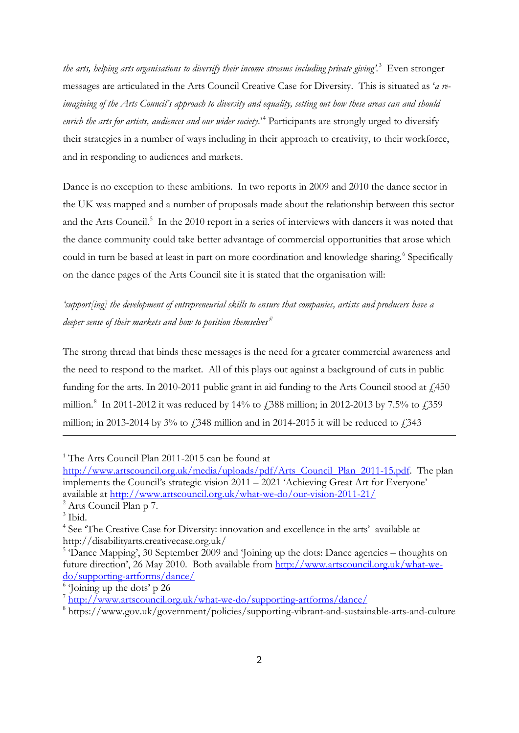*the arts, helping arts organisations to diversify their income streams including private giving'.* [3](#page-1-2) Even stronger messages are articulated in the Arts Council Creative Case for Diversity. This is situated as '*a reimagining of the Arts Council's approach to diversity and equality, setting out how these areas can and should enrich the arts for artists, audiences and our wider society*.'[4](#page-2-0) Participants are strongly urged to diversify their strategies in a number of ways including in their approach to creativity, to their workforce, and in responding to audiences and markets.

Dance is no exception to these ambitions. In two reports in 2009 and 2010 the dance sector in the UK was mapped and a number of proposals made about the relationship between this sector and the Arts Council.<sup>[5](#page-2-1)</sup> In the 2010 report in a series of interviews with dancers it was noted that the dance community could take better advantage of commercial opportunities that arose which could in turn be based at least in part on more coordination and knowledge sharing.<sup>[6](#page-2-2)</sup> Specifically on the dance pages of the Arts Council site it is stated that the organisation will:

*'support[ing] the development of entrepreneurial skills to ensure that companies, artists and producers have a deeper sense of their markets and how to position themselves'*[7](#page-2-3)

The strong thread that binds these messages is the need for a greater commercial awareness and the need to respond to the market. All of this plays out against a background of cuts in public funding for the arts. In 2010-2011 public grant in aid funding to the Arts Council stood at  $\hat{\mu}$  450 million.<sup>[8](#page-2-4)</sup> In 2011-2012 it was reduced by 14% to £388 million; in 2012-2013 by 7.5% to £359 million; in 2013-2014 by 3% to  $\angle$  548 million and in 2014-2015 it will be reduced to  $\angle$  543

<span id="page-2-5"></span><u>.</u>

<span id="page-2-2"></span><sup>6</sup> Joining up the dots' p 26

<sup>&</sup>lt;sup>1</sup> The Arts Council Plan 2011-2015 can be found at

[http://www.artscouncil.org.uk/media/uploads/pdf/Arts\\_Council\\_Plan\\_2011-15.pdf.](http://www.artscouncil.org.uk/media/uploads/pdf/Arts_Council_Plan_2011-15.pdf) The plan implements the Council's strategic vision 2011 – 2021 'Achieving Great Art for Everyone' available at<http://www.artscouncil.org.uk/what-we-do/our-vision-2011-21/>

<sup>&</sup>lt;sup>2</sup> Arts Council Plan p 7.

<sup>&</sup>lt;sup>3</sup> Ibid.

<span id="page-2-0"></span><sup>4</sup> See 'The Creative Case for Diversity: innovation and excellence in the arts' available at http://disabilityarts.creativecase.org.uk/

<span id="page-2-1"></span><sup>&</sup>lt;sup>5</sup> 'Dance Mapping', 30 September 2009 and 'Joining up the dots: Dance agencies – thoughts on future direction', 26 May 2010. Both available from [http://www.artscouncil.org.uk/what-we](http://www.artscouncil.org.uk/what-we-do/supporting-artforms/dance/)[do/supporting-artforms/dance/](http://www.artscouncil.org.uk/what-we-do/supporting-artforms/dance/)

<span id="page-2-3"></span><sup>7</sup> <http://www.artscouncil.org.uk/what-we-do/supporting-artforms/dance/>

<span id="page-2-4"></span><sup>8</sup> https://www.gov.uk/government/policies/supporting-vibrant-and-sustainable-arts-and-culture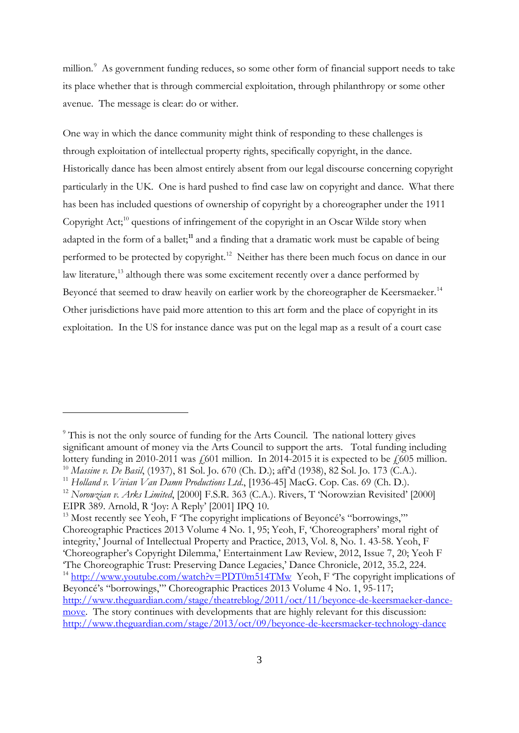million.<sup>[9](#page-2-5)</sup> As government funding reduces, so some other form of financial support needs to take its place whether that is through commercial exploitation, through philanthropy or some other avenue. The message is clear: do or wither.

One way in which the dance community might think of responding to these challenges is through exploitation of intellectual property rights, specifically copyright, in the dance. Historically dance has been almost entirely absent from our legal discourse concerning copyright particularly in the UK. One is hard pushed to find case law on copyright and dance. What there has been has included questions of ownership of copyright by a choreographer under the 1911 Copyright Act;<sup>10</sup> questions of infringement of the copyright in an Oscar Wilde story when adapted in the form of a ballet;**[11](#page-3-1)** and a finding that a dramatic work must be capable of being performed to be protected by copyright.<sup>[12](#page-3-2)</sup> Neither has there been much focus on dance in our law literature,<sup>[13](#page-3-3)</sup> although there was some excitement recently over a dance performed by Beyoncé that seemed to draw heavily on earlier work by the choreographer de Keersmaeker.<sup>14</sup> Other jurisdictions have paid more attention to this art form and the place of copyright in its exploitation. In the US for instance dance was put on the legal map as a result of a court case

<span id="page-3-5"></span><sup>&</sup>lt;sup>9</sup> This is not the only source of funding for the Arts Council. The national lottery gives significant amount of money via the Arts Council to support the arts. Total funding including lottery funding in 2010-2011 was  $\frac{1}{601}$  million. In 2014-2015 it is expected to be  $\frac{1}{605}$  million. <sup>10</sup> *Massine v. De Basil*, (1937), 81 Sol. Jo. 670 (Ch. D.); aff'd (1938), 82 Sol. Jo. 173 (C.A.).

<span id="page-3-1"></span><span id="page-3-0"></span><sup>&</sup>lt;sup>11</sup> Holland v. Vivian Van Damn Productions Ltd., [1936-45] MacG. Cop. Cas. 69 (Ch. D.).

<span id="page-3-2"></span><sup>&</sup>lt;sup>12</sup> *Norowzian v. Arks Limited*, [2000] F.S.R. 363 (C.A.). Rivers, T 'Norowzian Revisited' [2000] EIPR 389. Arnold, R 'Joy: A Reply' [2001] IPQ 10.

<span id="page-3-4"></span><span id="page-3-3"></span> $13$  Most recently see Yeoh, F 'The copyright implications of Beyoncé's "borrowings," Choreographic Practices 2013 Volume 4 No. 1, 95; Yeoh, F, 'Choreographers' moral right of integrity,' Journal of Intellectual Property and Practice, 2013, Vol. 8, No. 1. 43-58. Yeoh, F 'Choreographer's Copyright Dilemma,' Entertainment Law Review, 2012, Issue 7, 20; Yeoh F 'The Choreographic Trust: Preserving Dance Legacies,' Dance Chronicle, 2012, 35.2, 224. <sup>14</sup> <http://www.youtube.com/watch?v=PDT0m514TMw>Yeoh, F <sup> $\sigma$ </sup>The copyright implications of Beyoncé's "borrowings,"' Choreographic Practices 2013 Volume 4 No. 1, 95-117; [http://www.theguardian.com/stage/theatreblog/2011/oct/11/beyonce-de-keersmaeker-dance](http://www.theguardian.com/stage/theatreblog/2011/oct/11/beyonce-de-keersmaeker-dance-move)[move.](http://www.theguardian.com/stage/theatreblog/2011/oct/11/beyonce-de-keersmaeker-dance-move) The story continues with developments that are highly relevant for this discussion: [http://www.theguardian.com/stage/2013/oct/09/beyonce-de-keersmaeker-technology-dance](https://owa.exeter.ac.uk/owa/redir.aspx?C=OGKb8sNKUkCvL5RP69ZapuwfDwYxmtAIYlRXFcl9RV4cdP4FOgRbK4EXjvrg8Zg606mhRC5wg5s.&URL=http%3a%2f%2fwww.theguardian.com%2fstage%2f2013%2foct%2f09%2fbeyonce-de-keersmaeker-technology-dance)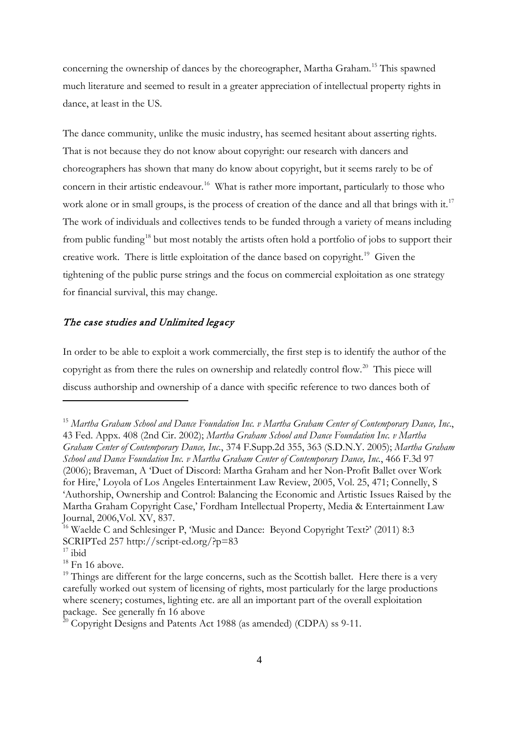concerning the ownership of dances by the choreographer, Martha Graham. [15](#page-3-5) This spawned much literature and seemed to result in a greater appreciation of intellectual property rights in dance, at least in the US.

The dance community, unlike the music industry, has seemed hesitant about asserting rights. That is not because they do not know about copyright: our research with dancers and choreographers has shown that many do know about copyright, but it seems rarely to be of concern in their artistic endeavour. [16](#page-4-0) What is rather more important, particularly to those who work alone or in small groups, is the process of creation of the dance and all that brings with it.<sup>[17](#page-4-1)</sup> The work of individuals and collectives tends to be funded through a variety of means including from public funding<sup>[18](#page-4-2)</sup> but most notably the artists often hold a portfolio of jobs to support their creative work. There is little exploitation of the dance based on copyright.<sup>19</sup> Given the tightening of the public purse strings and the focus on commercial exploitation as one strategy for financial survival, this may change.

#### The case studies and Unlimited legacy

In order to be able to exploit a work commercially, the first step is to identify the author of the copyright as from there the rules on ownership and relatedly control flow.<sup>[20](#page-4-4)</sup> This piece will discuss authorship and ownership of a dance with specific reference to two dances both of

<span id="page-4-5"></span><sup>15</sup> *Martha Graham School and Dance Foundation Inc. v Martha Graham Center of Contemporary Dance, Inc*., 43 Fed. Appx. 408 (2nd Cir. 2002); *Martha Graham School and Dance Foundation Inc. v Martha Graham Center of Contemporary Dance, Inc.*, 374 F.Supp.2d 355, 363 (S.D.N.Y. 2005); *Martha Graham School and Dance Foundation Inc. v Martha Graham Center of Contemporary Dance, Inc.*, 466 F.3d 97 (2006); Braveman, A 'Duet of Discord: Martha Graham and her Non-Profit Ballet over Work for Hire,' Loyola of Los Angeles Entertainment Law Review, 2005, Vol. 25, 471; Connelly, S 'Authorship, Ownership and Control: Balancing the Economic and Artistic Issues Raised by the Martha Graham Copyright Case,' Fordham Intellectual Property, Media & Entertainment Law Journal, 2006,Vol. XV, 837.

<span id="page-4-0"></span><sup>&</sup>lt;sup>16</sup> Waelde C and Schlesinger P, 'Music and Dance: Beyond Copyright Text?' (2011) 8:3 SCRIPTed 257 http://script-ed.org/?p=83

<span id="page-4-1"></span> $17$  ibid

<span id="page-4-2"></span> $18$  Fn 16 above.

<span id="page-4-3"></span> $19$  Things are different for the large concerns, such as the Scottish ballet. Here there is a very carefully worked out system of licensing of rights, most particularly for the large productions where scenery; costumes, lighting etc. are all an important part of the overall exploitation package. See generally fn 16 above

<span id="page-4-4"></span> $20$  Copyright Designs and Patents Act 1988 (as amended) (CDPA) ss 9-11.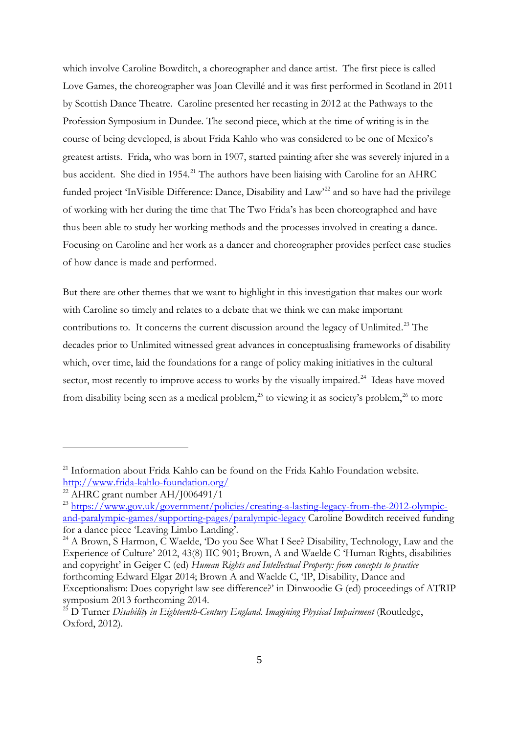which involve Caroline Bowditch, a choreographer and dance artist. The first piece is called Love Games, the choreographer was Joan Clevillé and it was first performed in Scotland in 2011 by Scottish Dance Theatre. Caroline presented her recasting in 2012 at the Pathways to the Profession Symposium in Dundee. The second piece, which at the time of writing is in the course of being developed, is about Frida Kahlo who was considered to be one of Mexico's greatest artists. Frida, who was born in 1907, started painting after she was severely injured in a bus accident. She died in 1954.<sup>21</sup> The authors have been liaising with Caroline for an AHRC funded project 'InVisible Difference: Dance, Disability and Law<sup>[22](#page-5-0)</sup> and so have had the privilege of working with her during the time that The Two Frida's has been choreographed and have thus been able to study her working methods and the processes involved in creating a dance. Focusing on Caroline and her work as a dancer and choreographer provides perfect case studies of how dance is made and performed.

But there are other themes that we want to highlight in this investigation that makes our work with Caroline so timely and relates to a debate that we think we can make important contributions to. It concerns the current discussion around the legacy of Unlimited.<sup>[23](#page-5-1)</sup> The decades prior to Unlimited witnessed great advances in conceptualising frameworks of disability which, over time, laid the foundations for a range of policy making initiatives in the cultural sector, most recently to improve access to works by the visually impaired.<sup>[24](#page-5-2)</sup> Ideas have moved from disability being seen as a medical problem,<sup>[25](#page-5-3)</sup> to viewing it as society's problem,<sup>[26](#page-5-4)</sup> to more

<span id="page-5-4"></span><sup>&</sup>lt;sup>21</sup> Information about Frida Kahlo can be found on the Frida Kahlo Foundation website.<br>http://www.frida-kahlo-foundation.org/

<span id="page-5-0"></span> $\frac{1}{22}$  AHRC grant number AH/J006491/1

<span id="page-5-1"></span><sup>&</sup>lt;sup>23</sup> [https://www.gov.uk/government/policies/creating-a-lasting-legacy-from-the-2012-olympic](https://www.gov.uk/government/policies/creating-a-lasting-legacy-from-the-2012-olympic-and-paralympic-games/supporting-pages/paralympic-legacy)[and-paralympic-games/supporting-pages/paralympic-legacy](https://www.gov.uk/government/policies/creating-a-lasting-legacy-from-the-2012-olympic-and-paralympic-games/supporting-pages/paralympic-legacy) Caroline Bowditch received funding for a dance piece 'Leaving Limbo Landing'.

<span id="page-5-2"></span><sup>&</sup>lt;sup>24</sup> A Brown, S Harmon, C Waelde, 'Do you See What I See? Disability, Technology, Law and the Experience of Culture' 2012, 43(8) IIC 901; Brown, A and Waelde C 'Human Rights, disabilities and copyright' in Geiger C (ed) *Human Rights and Intellectual Property: from concepts to practice* forthcoming Edward Elgar 2014; Brown A and Waelde C, 'IP, Disability, Dance and Exceptionalism: Does copyright law see difference?' in Dinwoodie G (ed) proceedings of ATRIP symposium 2013 forthcoming 2014. 25 D Turner *Disability in Eighteenth-Century England. Imagining Physical Impairment* (Routledge,

<span id="page-5-3"></span>Oxford, 2012).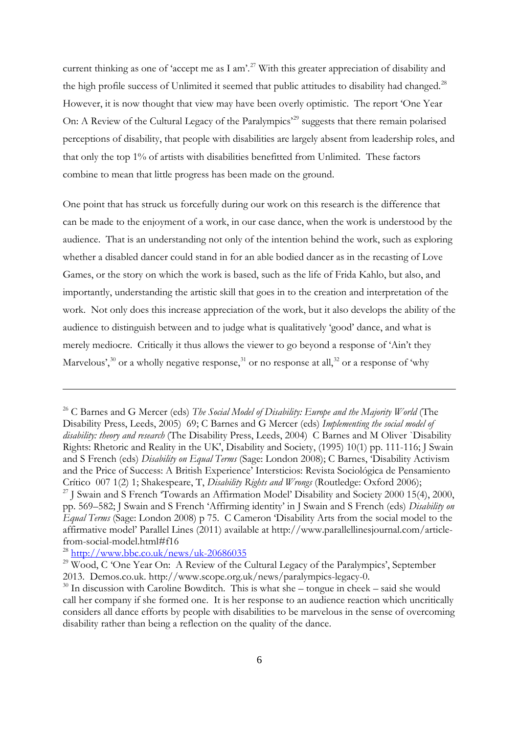current thinking as one of 'accept me as I am'.<sup>27</sup> With this greater appreciation of disability and the high profile success of Unlimited it seemed that public attitudes to disability had changed.<sup>28</sup> However, it is now thought that view may have been overly optimistic. The report 'One Year On: A Review of the Cultural Legacy of the Paralympics<sup>[29](#page-6-1)</sup> suggests that there remain polarised perceptions of disability, that people with disabilities are largely absent from leadership roles, and that only the top 1% of artists with disabilities benefitted from Unlimited. These factors combine to mean that little progress has been made on the ground.

One point that has struck us forcefully during our work on this research is the difference that can be made to the enjoyment of a work, in our case dance, when the work is understood by the audience. That is an understanding not only of the intention behind the work, such as exploring whether a disabled dancer could stand in for an able bodied dancer as in the recasting of Love Games, or the story on which the work is based, such as the life of Frida Kahlo, but also, and importantly, understanding the artistic skill that goes in to the creation and interpretation of the work. Not only does this increase appreciation of the work, but it also develops the ability of the audience to distinguish between and to judge what is qualitatively 'good' dance, and what is merely mediocre. Critically it thus allows the viewer to go beyond a response of 'Ain't they Marvelous',<sup>[30](#page-6-2)</sup> or a wholly negative response,<sup>[31](#page-6-3)</sup> or no response at all,<sup>[32](#page-6-4)</sup> or a response of 'why

<span id="page-6-5"></span><span id="page-6-4"></span><span id="page-6-3"></span><sup>&</sup>lt;sup>26</sup> C Barnes and G Mercer (eds) *The Social Model of Disability: Europe and the Majority World* (The Disability Press, Leeds, 2005) 69; C Barnes and G Mercer (eds) *Implementing the social model of disability: theory and research* (The Disability Press, Leeds, 2004) C Barnes and M Oliver `Disability Rights: Rhetoric and Reality in the UK', Disability and Society, (1995) 10(1) pp. 111-116; J Swain and S French (eds) *Disability on Equal Terms* (Sage: London 2008); C Barnes, 'Disability Activism and the Price of Success: A British Experience' Intersticios: Revista Sociológica de Pensamiento Crítico 007 1(2) 1; Shakespeare, T, *Disability Rights and Wrongs* (Routledge: Oxford 2006);

<sup>&</sup>lt;sup>27</sup> J Swain and S French 'Towards an Affirmation Model' Disability and Society 2000 15(4), 2000, pp. 569–582; J Swain and S French 'Affirming identity' in J Swain and S French (eds) *Disability on Equal Terms* (Sage: London 2008) p 75. C Cameron 'Disability Arts from the social model to the affirmative model' Parallel Lines (2011) available at http://www.parallellinesjournal.com/articlefrom-social-model.html#f16

<span id="page-6-0"></span> $28$  <http://www.bbc.co.uk/news/uk-20686035>

<span id="page-6-1"></span><sup>&</sup>lt;sup>29</sup> Wood, C 'One Year On: A Review of the Cultural Legacy of the Paralympics', September 2013. Demos.co.uk. http://www.scope.org.uk/news/paralympics-legacy-0.

<span id="page-6-2"></span> $30$  In discussion with Caroline Bowditch. This is what she – tongue in cheek – said she would call her company if she formed one. It is her response to an audience reaction which uncritically considers all dance efforts by people with disabilities to be marvelous in the sense of overcoming disability rather than being a reflection on the quality of the dance.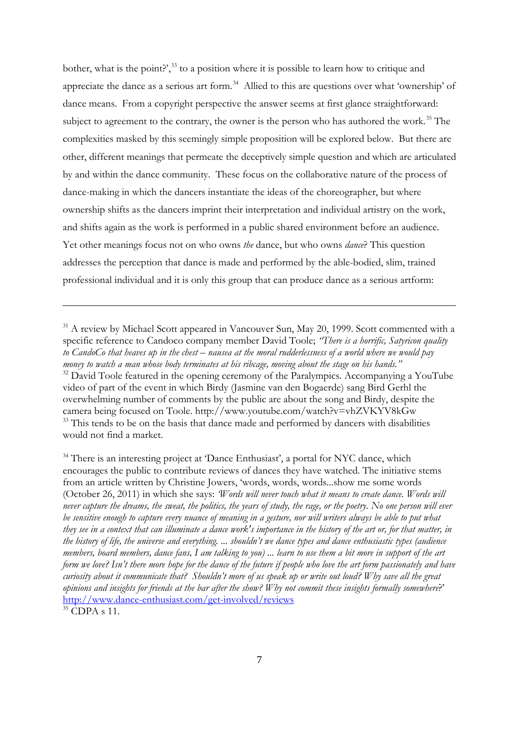bother, what is the point?', $^{33}$  $^{33}$  $^{33}$  to a position where it is possible to learn how to critique and appreciate the dance as a serious art form.<sup>34</sup> Allied to this are questions over what 'ownership' of dance means. From a copyright perspective the answer seems at first glance straightforward: subject to agreement to the contrary, the owner is the person who has authored the work.<sup>[35](#page-7-1)</sup> The complexities masked by this seemingly simple proposition will be explored below. But there are other, different meanings that permeate the deceptively simple question and which are articulated by and within the dance community. These focus on the collaborative nature of the process of dance-making in which the dancers instantiate the ideas of the choreographer, but where ownership shifts as the dancers imprint their interpretation and individual artistry on the work, and shifts again as the work is performed in a public shared environment before an audience. Yet other meanings focus not on who owns *the* dance, but who owns *dance*? This question addresses the perception that dance is made and performed by the able-bodied, slim, trained professional individual and it is only this group that can produce dance as a serious artform:

 $31$  A review by Michael Scott appeared in Vancouver Sun, May 20, 1999. Scott commented with a specific reference to Candoco company member David Toole; *"There is a horrific, Satyricon quality to CandoCo that heaves up in the chest – nausea at the moral rudderlessness of a world where we would pay money to watch a man whose body terminates at his ribcage, moving about the stage on his hands."* 32 David Toole featured in the opening ceremony of the Paralympics. Accompanying a YouTube video of part of the event in which Birdy (Jasmine van den Bogaerde) sang Bird Gerhl the overwhelming number of comments by the public are about the song and Birdy, despite the camera being focused on Toole. http://www.youtube.com/watch?v=vhZVKYV8kGw <sup>33</sup> This tends to be on the basis that dance made and performed by dancers with disabilities would not find a market.

<span id="page-7-2"></span><span id="page-7-0"></span><sup>&</sup>lt;sup>34</sup> There is an interesting project at 'Dance Enthusiast', a portal for NYC dance, which encourages the public to contribute reviews of dances they have watched. The initiative stems from an article written by Christine Jowers, 'words, words, words...show me some words (October 26, 2011) in which she says: *'Words will never touch what it means to create dance. Words will never capture the dreams, the sweat, the politics, the years of study, the rage, or the poetry. No one person will ever*  be sensitive enough to capture every nuance of meaning in a gesture, nor will writers always be able to put what *they see in a context that can illuminate a dance work's importance in the history of the art or, for that matter, in the history of life, the universe and everything. ... shouldn't we dance types and dance enthusiastic types (audience members, board members, dance fans, I am talking to you) ... learn to use them a bit more in support of the art form we love? Isn't there more hope for the dance of the future if people who love the art form passionately and have curiosity about it communicate that? Shouldn't more of us speak up or write out loud? Why save all the great opinions and insights for friends at the bar after the show? Why not commit these insights formally somewhere*?' <http://www.dance-enthusiast.com/get-involved/reviews>

<span id="page-7-1"></span><sup>&</sup>lt;sup>35</sup> CDPA s 11.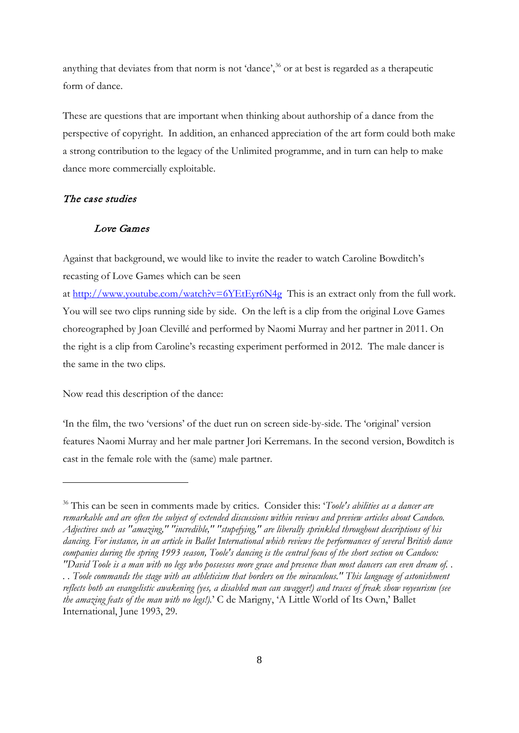anything that deviates from that norm is not 'dance',<sup>[36](#page-7-2)</sup> or at best is regarded as a therapeutic form of dance.

These are questions that are important when thinking about authorship of a dance from the perspective of copyright. In addition, an enhanced appreciation of the art form could both make a strong contribution to the legacy of the Unlimited programme, and in turn can help to make dance more commercially exploitable.

## The case studies

<u>.</u>

#### Love Games

Against that background, we would like to invite the reader to watch Caroline Bowditch's recasting of Love Games which can be seen

at<http://www.youtube.com/watch?v=6YEtEyr6N4g>This is an extract only from the full work. You will see two clips running side by side. On the left is a clip from the original Love Games choreographed by Joan Clevillé and performed by Naomi Murray and her partner in 2011. On the right is a clip from Caroline's recasting experiment performed in 2012. The male dancer is the same in the two clips.

Now read this description of the dance:

'In the film, the two 'versions' of the duet run on screen side-by-side. The 'original' version features Naomi Murray and her male partner Jori Kerremans. In the second version, Bowditch is cast in the female role with the (same) male partner.

<sup>36</sup> This can be seen in comments made by critics. Consider this: '*Toole's abilities as a dancer are remarkable and are often the subject of extended discussions within reviews and preview articles about Candoco. Adjectives such as "amazing," "incredible," "stupefying," are liberally sprinkled throughout descriptions of his dancing. For instance, in an article in Ballet International which reviews the performances of several British dance companies during the spring 1993 season, Toole's dancing is the central focus of the short section on Candoco: "David Toole is a man with no legs who possesses more grace and presence than most dancers can even dream of. .* 

<span id="page-8-0"></span>*<sup>. .</sup> Toole commands the stage with an athleticism that borders on the miraculous." This language of astonishment reflects both an evangelistic awakening (yes, a disabled man can swagger!) and traces of freak show voyeurism (see the amazing feats of the man with no legs!).*' C de Marigny, 'A Little World of Its Own,' Ballet International, June 1993, 29.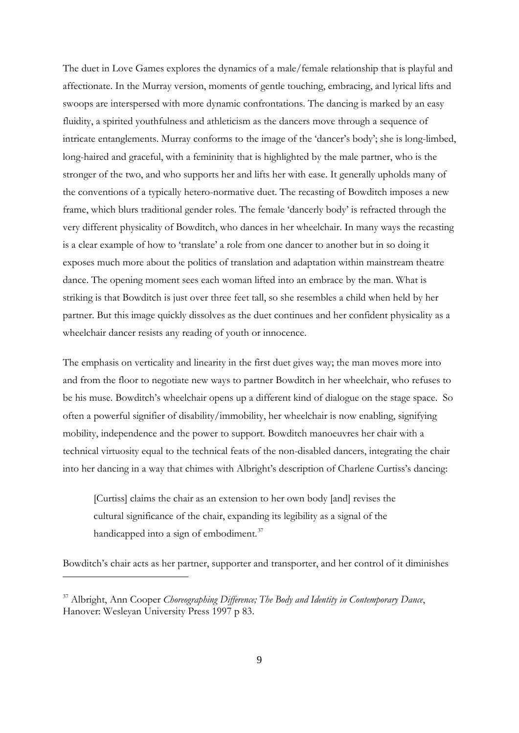The duet in Love Games explores the dynamics of a male/female relationship that is playful and affectionate. In the Murray version, moments of gentle touching, embracing, and lyrical lifts and swoops are interspersed with more dynamic confrontations. The dancing is marked by an easy fluidity, a spirited youthfulness and athleticism as the dancers move through a sequence of intricate entanglements. Murray conforms to the image of the 'dancer's body'; she is long-limbed, long-haired and graceful, with a femininity that is highlighted by the male partner, who is the stronger of the two, and who supports her and lifts her with ease. It generally upholds many of the conventions of a typically hetero-normative duet. The recasting of Bowditch imposes a new frame, which blurs traditional gender roles. The female 'dancerly body' is refracted through the very different physicality of Bowditch, who dances in her wheelchair. In many ways the recasting is a clear example of how to 'translate' a role from one dancer to another but in so doing it exposes much more about the politics of translation and adaptation within mainstream theatre dance. The opening moment sees each woman lifted into an embrace by the man. What is striking is that Bowditch is just over three feet tall, so she resembles a child when held by her partner. But this image quickly dissolves as the duet continues and her confident physicality as a wheelchair dancer resists any reading of youth or innocence.

The emphasis on verticality and linearity in the first duet gives way; the man moves more into and from the floor to negotiate new ways to partner Bowditch in her wheelchair, who refuses to be his muse. Bowditch's wheelchair opens up a different kind of dialogue on the stage space. So often a powerful signifier of disability/immobility, her wheelchair is now enabling, signifying mobility, independence and the power to support. Bowditch manoeuvres her chair with a technical virtuosity equal to the technical feats of the non-disabled dancers, integrating the chair into her dancing in a way that chimes with Albright's description of Charlene Curtiss's dancing:

[Curtiss] claims the chair as an extension to her own body [and] revises the cultural significance of the chair, expanding its legibility as a signal of the handicapped into a sign of embodiment. $37$ 

Bowditch's chair acts as her partner, supporter and transporter, and her control of it diminishes

<span id="page-9-0"></span><sup>37</sup> Albright, Ann Cooper *Choreographing Difference; The Body and Identity in Contemporary Dance*, Hanover: Wesleyan University Press 1997 p 83.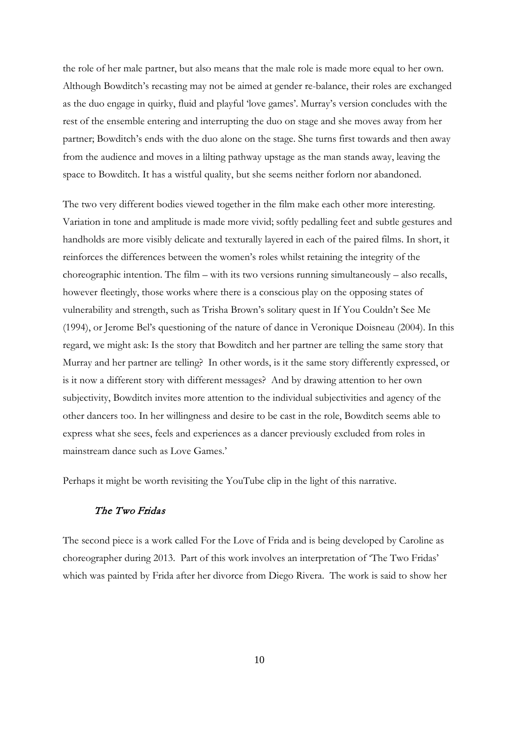the role of her male partner, but also means that the male role is made more equal to her own. Although Bowditch's recasting may not be aimed at gender re-balance, their roles are exchanged as the duo engage in quirky, fluid and playful 'love games'. Murray's version concludes with the rest of the ensemble entering and interrupting the duo on stage and she moves away from her partner; Bowditch's ends with the duo alone on the stage. She turns first towards and then away from the audience and moves in a lilting pathway upstage as the man stands away, leaving the space to Bowditch. It has a wistful quality, but she seems neither forlorn nor abandoned.

The two very different bodies viewed together in the film make each other more interesting. Variation in tone and amplitude is made more vivid; softly pedalling feet and subtle gestures and handholds are more visibly delicate and texturally layered in each of the paired films. In short, it reinforces the differences between the women's roles whilst retaining the integrity of the choreographic intention. The film – with its two versions running simultaneously – also recalls, however fleetingly, those works where there is a conscious play on the opposing states of vulnerability and strength, such as Trisha Brown's solitary quest in If You Couldn't See Me (1994), or Jerome Bel's questioning of the nature of dance in Veronique Doisneau (2004). In this regard, we might ask: Is the story that Bowditch and her partner are telling the same story that Murray and her partner are telling? In other words, is it the same story differently expressed, or is it now a different story with different messages? And by drawing attention to her own subjectivity, Bowditch invites more attention to the individual subjectivities and agency of the other dancers too. In her willingness and desire to be cast in the role, Bowditch seems able to express what she sees, feels and experiences as a dancer previously excluded from roles in mainstream dance such as Love Games.'

Perhaps it might be worth revisiting the YouTube clip in the light of this narrative.

### The Two Fridas

The second piece is a work called For the Love of Frida and is being developed by Caroline as choreographer during 2013. Part of this work involves an interpretation of 'The Two Fridas' which was painted by Frida after her divorce from Diego Rivera. The work is said to show her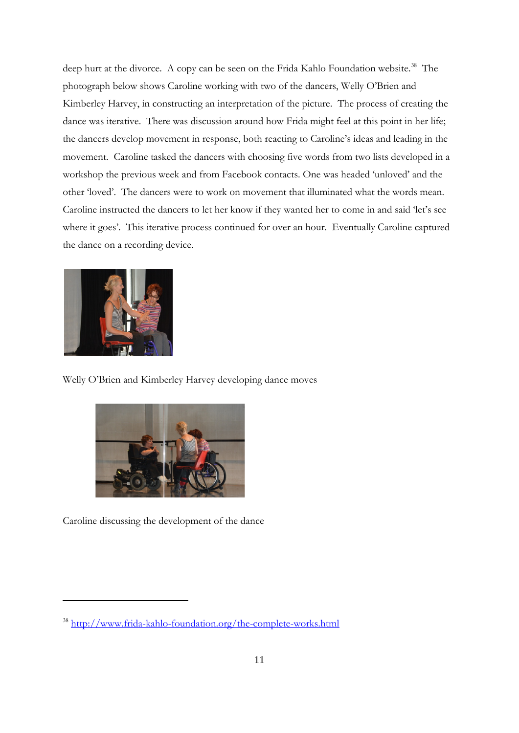deep hurt at the divorce. A copy can be seen on the Frida Kahlo Foundation website. [38](#page-9-0) The photograph below shows Caroline working with two of the dancers, Welly O'Brien and Kimberley Harvey, in constructing an interpretation of the picture. The process of creating the dance was iterative. There was discussion around how Frida might feel at this point in her life; the dancers develop movement in response, both reacting to Caroline's ideas and leading in the movement. Caroline tasked the dancers with choosing five words from two lists developed in a workshop the previous week and from Facebook contacts. One was headed 'unloved' and the other 'loved'. The dancers were to work on movement that illuminated what the words mean. Caroline instructed the dancers to let her know if they wanted her to come in and said 'let's see where it goes'. This iterative process continued for over an hour. Eventually Caroline captured the dance on a recording device.



-

Welly O'Brien and Kimberley Harvey developing dance moves



<span id="page-11-0"></span>Caroline discussing the development of the dance

<sup>38</sup> <http://www.frida-kahlo-foundation.org/the-complete-works.html>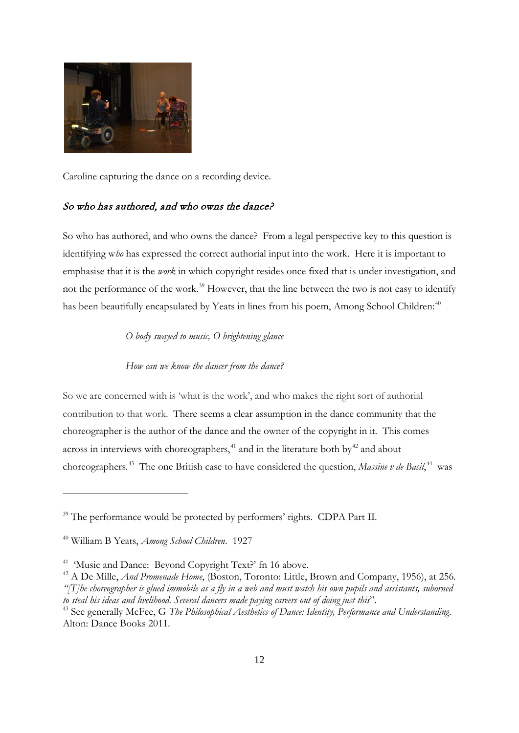

Caroline capturing the dance on a recording device.

## So who has authored, and who owns the dance?

So who has authored, and who owns the dance? From a legal perspective key to this question is identifying w*ho* has expressed the correct authorial input into the work. Here it is important to emphasise that it is the *work* in which copyright resides once fixed that is under investigation, and not the performance of the work.<sup>[39](#page-11-0)</sup> However, that the line between the two is not easy to identify has been beautifully encapsulated by Yeats in lines from his poem, Among School Children:<sup>40</sup>

*O body swayed to music, O brightening glance*

*How can we know the dancer from the dance?*

So we are concerned with is 'what is the work', and who makes the right sort of authorial contribution to that work. There seems a clear assumption in the dance community that the choreographer is the author of the dance and the owner of the copyright in it. This comes across in interviews with choreographers,<sup>[41](#page-12-1)</sup> and in the literature both by<sup>42</sup> and about choreographers.<sup>43</sup> The one British case to have considered the question, *Massine v de Basil*,<sup>44</sup> was

<span id="page-12-5"></span><span id="page-12-4"></span><sup>&</sup>lt;sup>39</sup> The performance would be protected by performers' rights. CDPA Part II.

<span id="page-12-0"></span><sup>40</sup> William B Yeats, *Among School Children*. 1927

<span id="page-12-1"></span><sup>&</sup>lt;sup>41</sup> 'Music and Dance: Beyond Copyright Text?' fn 16 above.

<span id="page-12-2"></span><sup>&</sup>lt;sup>42</sup> A De Mille, *And Promenade Home*, (Boston, Toronto: Little, Brown and Company, 1956), at 256. *"[T]he choreographer is glued immobile as a fly in a web and must watch his own pupils and assistants, suborned to steal his ideas and livelihood. Several dancers made paying careers out of doing just this*".

<span id="page-12-3"></span><sup>43</sup> See generally McFee, G *The Philosophical Aesthetics of Dance: Identity, Performance and Understanding*. Alton: Dance Books 2011.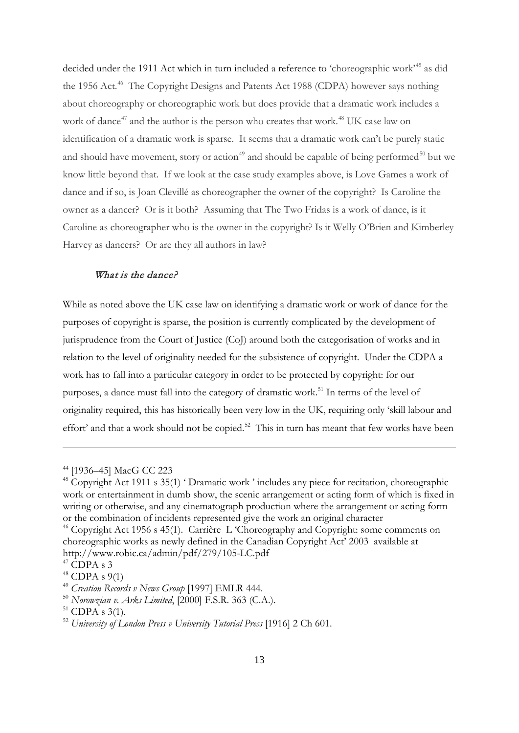decided under the 1911 Act which in turn included a reference to 'choreographic work'<sup>45</sup> as did the 1956 Act.<sup>[46](#page-13-0)</sup> The Copyright Designs and Patents Act 1988 (CDPA) however says nothing about choreography or choreographic work but does provide that a dramatic work includes a work of dance<sup>47</sup> and the author is the person who creates that work.<sup>48</sup> UK case law on identification of a dramatic work is sparse. It seems that a dramatic work can't be purely static and should have movement, story or action<sup>49</sup> and should be capable of being performed<sup>50</sup> but we know little beyond that. If we look at the case study examples above, is Love Games a work of dance and if so, is Joan Clevillé as choreographer the owner of the copyright? Is Caroline the owner as a dancer? Or is it both? Assuming that The Two Fridas is a work of dance, is it Caroline as choreographer who is the owner in the copyright? Is it Welly O'Brien and Kimberley Harvey as dancers? Or are they all authors in law?

## What is the dance?

<span id="page-13-7"></span>While as noted above the UK case law on identifying a dramatic work or work of dance for the purposes of copyright is sparse, the position is currently complicated by the development of jurisprudence from the Court of Justice (CoJ) around both the categorisation of works and in relation to the level of originality needed for the subsistence of copyright. Under the CDPA a work has to fall into a particular category in order to be protected by copyright: for our purposes, a dance must fall into the category of dramatic work.<sup>[51](#page-13-5)</sup> In terms of the level of originality required, this has historically been very low in the UK, requiring only 'skill labour and effort' and that a work should not be copied.<sup>[52](#page-13-6)</sup> This in turn has meant that few works have been

<sup>44</sup> [1936–45] MacG CC 223

<sup>&</sup>lt;sup>45</sup> Copyright Act 1911 s 35(1) 'Dramatic work ' includes any piece for recitation, choreographic work or entertainment in dumb show, the scenic arrangement or acting form of which is fixed in writing or otherwise, and any cinematograph production where the arrangement or acting form or the combination of incidents represented give the work an original character

<span id="page-13-0"></span><sup>&</sup>lt;sup>46</sup> Copyright Act 1956 s 45(1). Carrière L 'Choreography and Copyright: some comments on choreographic works as newly defined in the Canadian Copyright Act' 2003 available at http://www.robic.ca/admin/pdf/279/105-LC.pdf

<span id="page-13-1"></span> $47$  CDPA s 3

<span id="page-13-2"></span> $48$  CDPA s 9(1)

<span id="page-13-3"></span><sup>49</sup> *Creation Records v News Group* [1997] EMLR 444.

<span id="page-13-4"></span><sup>&</sup>lt;sup>50</sup> *Norowzian v. Arks Limited*, [2000] F.S.R. 363 (C.A.).<br><sup>51</sup> CDPA s 3(1).

<span id="page-13-5"></span>

<span id="page-13-6"></span><sup>52</sup> *University of London Press v University Tutorial Press* [1916] 2 Ch 601.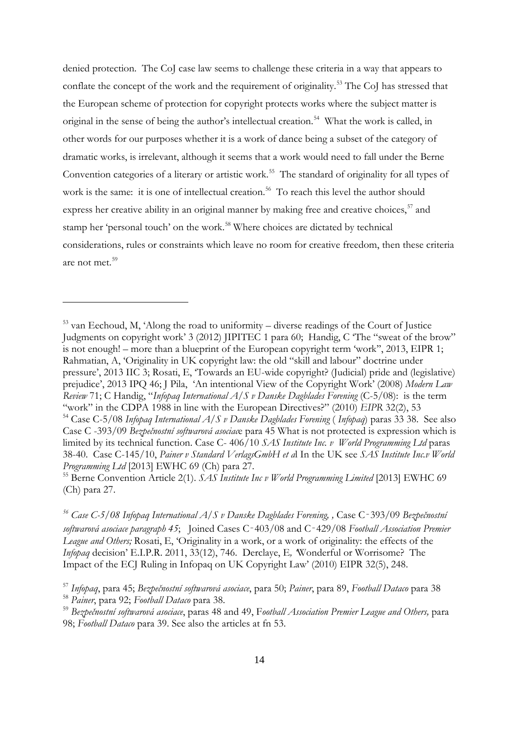denied protection. The CoJ case law seems to challenge these criteria in a way that appears to conflate the concept of the work and the requirement of originality.<sup>53</sup> The CoJ has stressed that the European scheme of protection for copyright protects works where the subject matter is original in the sense of being the author's intellectual creation.<sup>[54](#page-14-0)</sup> What the work is called, in other words for our purposes whether it is a work of dance being a subset of the category of dramatic works, is irrelevant, although it seems that a work would need to fall under the Berne Convention categories of a literary or artistic work. [55](#page-14-1) The standard of originality for all types of work is the same: it is one of intellectual creation. [56](#page-14-2) To reach this level the author should express her creative ability in an original manner by making free and creative choices,<sup>57</sup> and stamp her 'personal touch' on the work.<sup>[58](#page-14-4)</sup> Where choices are dictated by technical considerations, rules or constraints which leave no room for creative freedom, then these criteria are not met.[59](#page-14-5)

<sup>53</sup> van Eechoud, M, 'Along the road to uniformity – diverse readings of the Court of Justice Judgments on copyright work' 3 (2012) JIPITEC 1 para 60; Handig, C 'The "sweat of the brow" is not enough! – more than a blueprint of the European copyright term 'work'', 2013, EIPR 1; Rahmatian, A, 'Originality in UK copyright law: the old "skill and labour" doctrine under pressure', 2013 IIC 3; Rosati, E, 'Towards an EU-wide copyright? (Judicial) pride and (legislative) prejudice', 2013 IPQ 46; J Pila, 'An intentional View of the Copyright Work' (2008) *Modern Law Review* 71; C Handig, "*Infopaq International A/S v Danske Dagblades Forening* (C-5/08): is the term "work" in the CDPA 1988 in line with the European Directives?" (2010) *EIPR* 32(2), 53 <sup>54</sup> Case C-5/08 *Infopaq International A/S v Danske Dagblades Forening* ( *Infopaq*) paras 33 38. See also

<span id="page-14-0"></span>Case C -393/09 *Bezpečnostní softwarová asociac*e para 45 What is not protected is expression which is limited by its technical function. Case C- 406/10 *SAS Institute Inc. v World Programming Ltd* paras 38-40. Case C-145/10, *Painer v Standard VerlagsGmbH et a*l In the UK see *SAS Institute Inc.v World Programming Ltd* [2013] EWHC 69 (Ch) para 27.

<span id="page-14-1"></span><sup>55</sup> Berne Convention Article 2(1). *SAS Institute Inc v World Programming Limited* [2013] EWHC 69 (Ch) para 27.

<span id="page-14-6"></span><span id="page-14-2"></span>*<sup>56</sup> Case C-5/08 Infopaq International A/S v Danske Dagblades Forening, ,* Case C‑393/09 *Bezpečnostní softwarová asociace paragraph 45*; Joined Cases C‑403/08 and C‑429/08 *Football Association Premier League and Others;* Rosati, E, 'Originality in a work, or a work of originality: the effects of the *Infopaq* decision' E.I.P.R. 2011, 33(12), 746. Derclaye, E*, '*Wonderful or Worrisome? The Impact of the ECJ Ruling in Infopaq on UK Copyright Law' (2010) EIPR 32(5), 248.

<span id="page-14-3"></span><sup>57</sup> *Infopaq*, para 45; *Bezpečnostní softwarová asociace*, para 50; *Painer*, para 89, *Football Dataco* para 38

<span id="page-14-4"></span><sup>58</sup> *Painer*, para 92; *Football Dataco* para 38.

<span id="page-14-5"></span><sup>59</sup> *Bezpečnostní softwarová asociace*, paras 48 and 49, F*ootball Association Premier League and Others,* para 98; *Football Dataco* para 39. See also the articles at fn 53.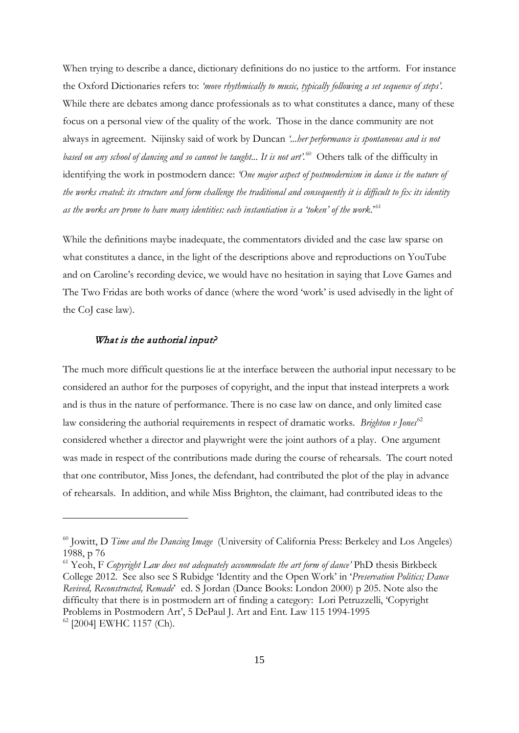When trying to describe a dance, dictionary definitions do no justice to the artform. For instance the Oxford Dictionaries refers to: *'move rhythmically to music, typically following a set sequence of steps'.*  While there are debates among dance professionals as to what constitutes a dance, many of these focus on a personal view of the quality of the work. Those in the dance community are not always in agreement. Nijinsky said of work by Duncan *'...her performance is spontaneous and is not based on any school of dancing and so cannot be taught... It is not art'.*[60](#page-14-6) Others talk of the difficulty in identifying the work in postmodern dance: *'One major aspect of postmodernism in dance is the nature of the works created: its structure and form challenge the traditional and consequently it is difficult to fix its identity as the works are prone to have many identities: each instantiation is a 'token' of the work*.'[61](#page-15-0)

While the definitions maybe inadequate, the commentators divided and the case law sparse on what constitutes a dance, in the light of the descriptions above and reproductions on YouTube and on Caroline's recording device, we would have no hesitation in saying that Love Games and The Two Fridas are both works of dance (where the word 'work' is used advisedly in the light of the CoJ case law).

#### What is the authorial input?

-

The much more difficult questions lie at the interface between the authorial input necessary to be considered an author for the purposes of copyright, and the input that instead interprets a work and is thus in the nature of performance. There is no case law on dance, and only limited case law considering the authorial requirements in respect of dramatic works. *Brighton v Jones*<sup>[62](#page-15-1)</sup> considered whether a director and playwright were the joint authors of a play. One argument was made in respect of the contributions made during the course of rehearsals. The court noted that one contributor, Miss Jones, the defendant, had contributed the plot of the play in advance of rehearsals. In addition, and while Miss Brighton, the claimant, had contributed ideas to the

<span id="page-15-2"></span><sup>60</sup> Jowitt, D *Time and the Dancing Image* (University of California Press: Berkeley and Los Angeles) 1988, p 76

<span id="page-15-1"></span><span id="page-15-0"></span><sup>61</sup> Yeoh, F *Copyright Law does not adequately accommodate the art form of dance'* PhD thesis Birkbeck College 2012. See also see S Rubidge 'Identity and the Open Work' in '*Preservation Politics; Dance Revived, Reconstructed, Remade*' ed. S Jordan (Dance Books: London 2000) p 205. Note also the difficulty that there is in postmodern art of finding a category: Lori Petruzzelli, 'Copyright Problems in Postmodern Art', 5 DePaul J. Art and Ent. Law 115 1994-1995 <sup>62</sup> [2004] EWHC 1157 (Ch).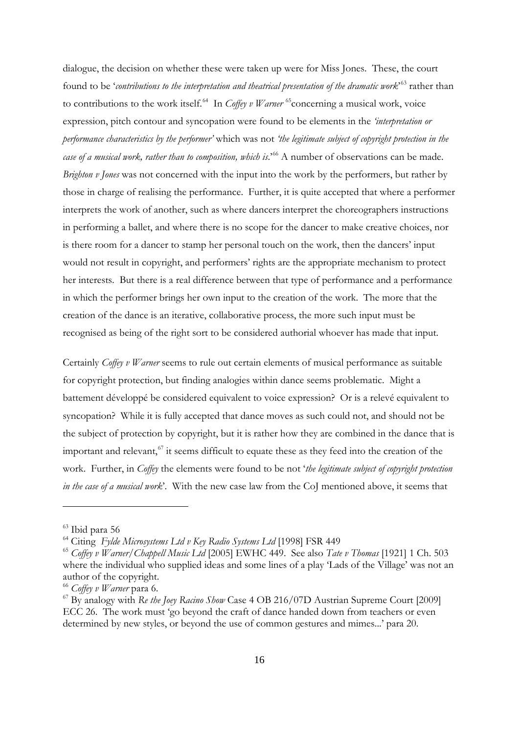dialogue, the decision on whether these were taken up were for Miss Jones. These, the court found to be '*contributions to the interpretation and theatrical presentation of the dramatic work*<sup>5[63](#page-15-2)</sup> rather than to contributions to the work itself.<sup>64</sup> In *Coffey v Warner* <sup>[65](#page-16-1)</sup> concerning a musical work, voice expression, pitch contour and syncopation were found to be elements in the *'interpretation or performance characteristics by the performer'* which was not *'the legitimate subject of copyright protection in the case of a musical work, rather than to composition, which is*.<sup>5[66](#page-16-2)</sup> A number of observations can be made. *Brighton v Jones* was not concerned with the input into the work by the performers, but rather by those in charge of realising the performance. Further, it is quite accepted that where a performer interprets the work of another, such as where dancers interpret the choreographers instructions in performing a ballet, and where there is no scope for the dancer to make creative choices, nor is there room for a dancer to stamp her personal touch on the work, then the dancers' input would not result in copyright, and performers' rights are the appropriate mechanism to protect her interests. But there is a real difference between that type of performance and a performance in which the performer brings her own input to the creation of the work. The more that the creation of the dance is an iterative, collaborative process, the more such input must be recognised as being of the right sort to be considered authorial whoever has made that input.

Certainly *Coffey v Warner* seems to rule out certain elements of musical performance as suitable for copyright protection, but finding analogies within dance seems problematic. Might a battement développé be considered equivalent to voice expression? Or is a relevé equivalent to syncopation? While it is fully accepted that dance moves as such could not, and should not be the subject of protection by copyright, but it is rather how they are combined in the dance that is important and relevant, $67$  it seems difficult to equate these as they feed into the creation of the work. Further, in *Coffey* the elements were found to be not '*the legitimate subject of copyright protection in the case of a musical work*'. With the new case law from the CoJ mentioned above, it seems that

<sup>63</sup> Ibid para 56

<span id="page-16-0"></span><sup>64</sup> Citing *Fylde Microsystems Ltd v Key Radio Systems Ltd* [1998] FSR 449

<span id="page-16-1"></span><sup>65</sup> *Coffey v Warner/Chappell Music Ltd* [2005] EWHC 449. See also *Tate v Thomas* [1921] 1 Ch. 503 where the individual who supplied ideas and some lines of a play 'Lads of the Village' was not an author of the copyright.

<span id="page-16-4"></span><span id="page-16-2"></span><sup>66</sup> *Coffey v Warner* para 6.

<span id="page-16-3"></span><sup>67</sup> By analogy with *Re the Joey Racino Show* Case 4 OB 216/07D Austrian Supreme Court [2009] ECC 26. The work must 'go beyond the craft of dance handed down from teachers or even determined by new styles, or beyond the use of common gestures and mimes...' para 20.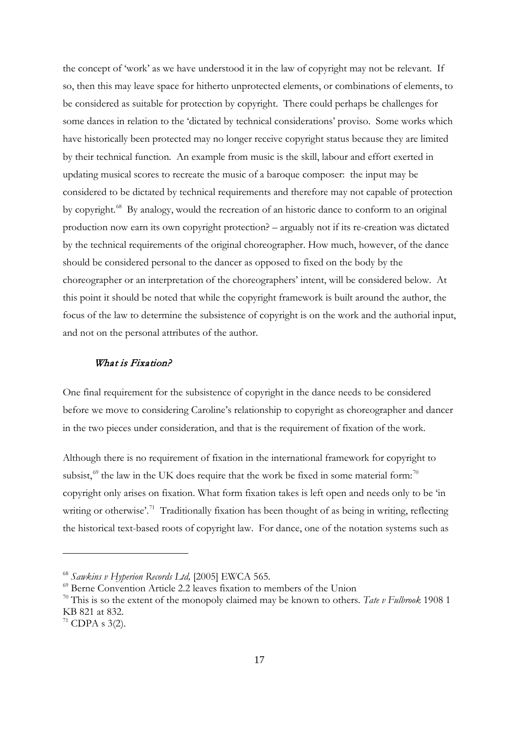the concept of 'work' as we have understood it in the law of copyright may not be relevant. If so, then this may leave space for hitherto unprotected elements, or combinations of elements, to be considered as suitable for protection by copyright. There could perhaps be challenges for some dances in relation to the 'dictated by technical considerations' proviso. Some works which have historically been protected may no longer receive copyright status because they are limited by their technical function. An example from music is the skill, labour and effort exerted in updating musical scores to recreate the music of a baroque composer: the input may be considered to be dictated by technical requirements and therefore may not capable of protection by copyright.<sup>68</sup> By analogy, would the recreation of an historic dance to conform to an original production now earn its own copyright protection? – arguably not if its re-creation was dictated by the technical requirements of the original choreographer. How much, however, of the dance should be considered personal to the dancer as opposed to fixed on the body by the choreographer or an interpretation of the choreographers' intent, will be considered below. At this point it should be noted that while the copyright framework is built around the author, the focus of the law to determine the subsistence of copyright is on the work and the authorial input, and not on the personal attributes of the author.

### What is Fixation?

One final requirement for the subsistence of copyright in the dance needs to be considered before we move to considering Caroline's relationship to copyright as choreographer and dancer in the two pieces under consideration, and that is the requirement of fixation of the work.

<span id="page-17-3"></span>Although there is no requirement of fixation in the international framework for copyright to subsist, $69$  the law in the UK does require that the work be fixed in some material form:<sup>[70](#page-17-1)</sup> copyright only arises on fixation. What form fixation takes is left open and needs only to be 'in writing or otherwise'.<sup>71</sup> Traditionally fixation has been thought of as being in writing, reflecting the historical text-based roots of copyright law. For dance, one of the notation systems such as

<sup>68</sup> *Sawkins v Hyperion Records Ltd,* [2005] EWCA 565*.*

<span id="page-17-0"></span> $^{69}$  Berne Convention Article 2.2 leaves fixation to members of the Union

<span id="page-17-1"></span><sup>70</sup> This is so the extent of the monopoly claimed may be known to others. *Tate v Fulbrook* 1908 1 KB 821 at 832.

<span id="page-17-2"></span> $71$  CDPA s 3(2).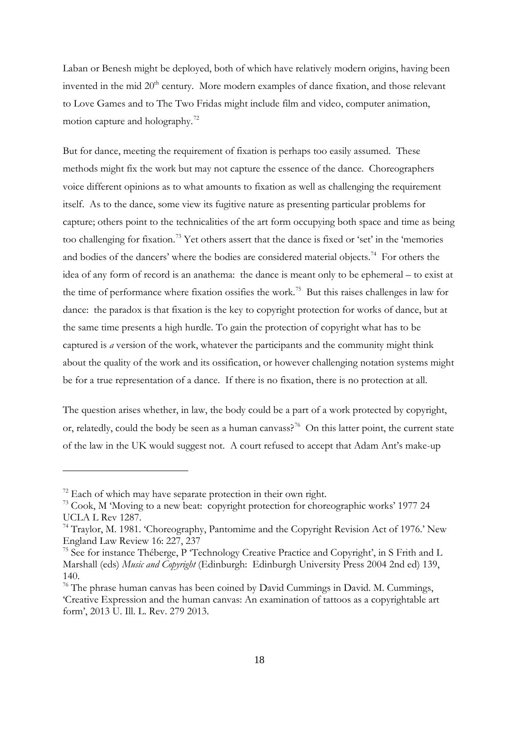Laban or Benesh might be deployed, both of which have relatively modern origins, having been invented in the mid 20<sup>th</sup> century. More modern examples of dance fixation, and those relevant to Love Games and to The Two Fridas might include film and video, computer animation, motion capture and holography.<sup>[72](#page-17-3)</sup>

But for dance, meeting the requirement of fixation is perhaps too easily assumed. These methods might fix the work but may not capture the essence of the dance. Choreographers voice different opinions as to what amounts to fixation as well as challenging the requirement itself. As to the dance, some view its fugitive nature as presenting particular problems for capture; others point to the technicalities of the art form occupying both space and time as being too challenging for fixation.[73](#page-18-0) Yet others assert that the dance is fixed or 'set' in the 'memories and bodies of the dancers' where the bodies are considered material objects.<sup>74</sup> For others the idea of any form of record is an anathema: the dance is meant only to be ephemeral – to exist at the time of performance where fixation ossifies the work.[75](#page-18-2) But this raises challenges in law for dance: the paradox is that fixation is the key to copyright protection for works of dance, but at the same time presents a high hurdle. To gain the protection of copyright what has to be captured is *a* version of the work, whatever the participants and the community might think about the quality of the work and its ossification, or however challenging notation systems might be for a true representation of a dance. If there is no fixation, there is no protection at all.

<span id="page-18-4"></span>The question arises whether, in law, the body could be a part of a work protected by copyright, or, relatedly, could the body be seen as a human canyass?<sup>76</sup> On this latter point, the current state of the law in the UK would suggest not. A court refused to accept that Adam Ant's make-up

 $72$  Each of which may have separate protection in their own right.

<span id="page-18-0"></span><sup>&</sup>lt;sup>73</sup> Cook, M 'Moving to a new beat: copyright protection for choreographic works' 1977 24 UCLA L Rev 1287.

<span id="page-18-1"></span><sup>&</sup>lt;sup>74</sup> Traylor, M. 1981. 'Choreography, Pantomime and the Copyright Revision Act of 1976.' New England Law Review 16: 227, 237

<span id="page-18-2"></span><sup>&</sup>lt;sup>75</sup> See for instance Théberge, P 'Technology Creative Practice and Copyright', in S Frith and L Marshall (eds) *Music and Copyright* (Edinburgh: Edinburgh University Press 2004 2nd ed) 139, 140.

<span id="page-18-3"></span><sup>&</sup>lt;sup>76</sup> The phrase human canvas has been coined by David Cummings in David. M. Cummings, 'Creative Expression and the human canvas: An examination of tattoos as a copyrightable art form', 2013 U. Ill. L. Rev. 279 2013.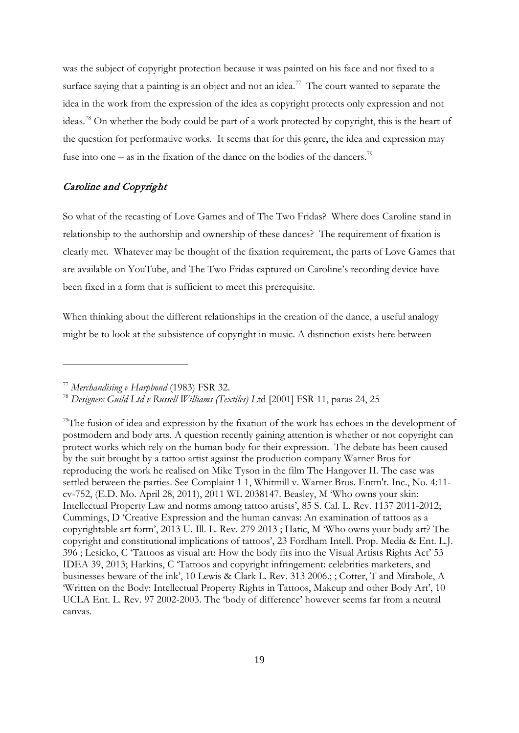was the subject of copyright protection because it was painted on his face and not fixed to a surface saying that a painting is an object and not an idea.<sup>77</sup> The court wanted to separate the idea in the work from the expression of the idea as copyright protects only expression and not ideas.[78](#page-19-0) On whether the body could be part of a work protected by copyright, this is the heart of the question for performative works. It seems that for this genre, the idea and expression may fuse into one – as in the fixation of the dance on the bodies of the dancers.<sup>79</sup>

## Caroline and Copyright

So what of the recasting of Love Games and of The Two Fridas? Where does Caroline stand in relationship to the authorship and ownership of these dances? The requirement of fixation is clearly met. Whatever may be thought of the fixation requirement, the parts of Love Games that are available on YouTube, and The Two Fridas captured on Caroline's recording device have been fixed in a form that is sufficient to meet this prerequisite.

When thinking about the different relationships in the creation of the dance, a useful analogy might be to look at the subsistence of copyright in music. A distinction exists here between

<span id="page-19-0"></span><sup>&</sup>lt;sup>77</sup> Merchandising v Harpbond (1983) FSR 32.<br><sup>78</sup> Designers Guild Ltd v Russell Williams (Textiles) Ltd [2001] FSR 11, paras 24, 25

<span id="page-19-2"></span><span id="page-19-1"></span><sup>&</sup>lt;sup>79</sup>The fusion of idea and expression by the fixation of the work has echoes in the development of postmodern and body arts. A question recently gaining attention is whether or not copyright can protect works which rely on the human body for their expression. The debate has been caused by the suit brought by a tattoo artist against the production company Warner Bros for reproducing the work he realised on Mike Tyson in the film The Hangover II. The case was settled between the parties. See Complaint 1 1, Whitmill v. Warner Bros. Entm't. Inc., No. 4:11 cv-752, (E.D. Mo. April 28, 2011), 2011 WL 2038147. Beasley, M 'Who owns your skin: Intellectual Property Law and norms among tattoo artists', 85 S. Cal. L. Rev. 1137 2011-2012; Cummings, D 'Creative Expression and the human canvas: An examination of tattoos as a copyrightable art form', 2013 U. Ill. L. Rev. 279 2013 ; Hatic, M 'Who owns your body art? The copyright and constitutional implications of tattoos', 23 Fordham Intell. Prop. Media & Ent. L.J. 396 ; Lesicko, C 'Tattoos as visual art: How the body fits into the Visual Artists Rights Act' 53 IDEA 39, 2013; Harkins, C 'Tattoos and copyright infringement: celebrities marketers, and businesses beware of the ink', 10 Lewis & Clark L. Rev. 313 2006.; ; Cotter, T and Mirabole, A 'Written on the Body: Intellectual Property Rights in Tattoos, Makeup and other Body Art', 10 UCLA Ent. L. Rev. 97 2002-2003. The 'body of difference' however seems far from a neutral canvas.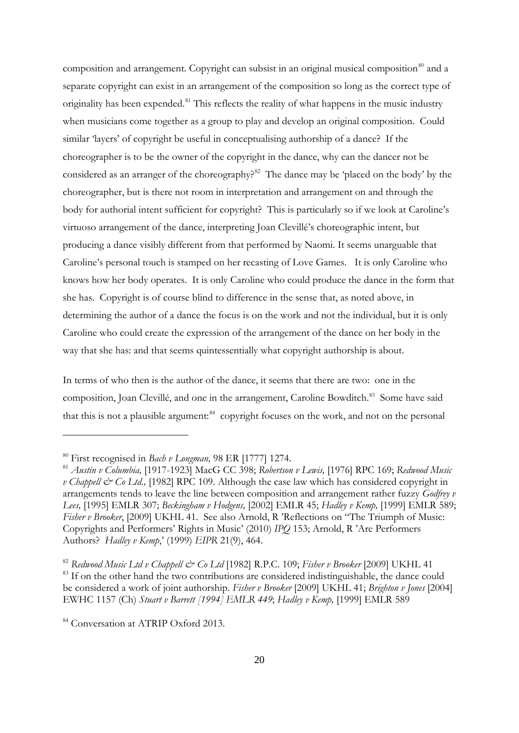composition and arrangement. Copyright can subsist in an original musical composition $80$  and a separate copyright can exist in an arrangement of the composition so long as the correct type of originality has been expended.<sup>[81](#page-20-0)</sup> This reflects the reality of what happens in the music industry when musicians come together as a group to play and develop an original composition. Could similar 'layers' of copyright be useful in conceptualising authorship of a dance? If the choreographer is to be the owner of the copyright in the dance, why can the dancer not be considered as an arranger of the choreography?<sup>82</sup> The dance may be 'placed on the body' by the choreographer, but is there not room in interpretation and arrangement on and through the body for authorial intent sufficient for copyright? This is particularly so if we look at Caroline's virtuoso arrangement of the dance, interpreting Joan Clevillé's choreographic intent, but producing a dance visibly different from that performed by Naomi. It seems unarguable that Caroline's personal touch is stamped on her recasting of Love Games. It is only Caroline who knows how her body operates. It is only Caroline who could produce the dance in the form that she has. Copyright is of course blind to difference in the sense that, as noted above, in determining the author of a dance the focus is on the work and not the individual, but it is only Caroline who could create the expression of the arrangement of the dance on her body in the way that she has: and that seems quintessentially what copyright authorship is about.

In terms of who then is the author of the dance, it seems that there are two: one in the composition, Joan Clevillé, and one in the arrangement, Caroline Bowditch.<sup>[83](#page-20-2)</sup> Some have said that this is not a plausible argument:<sup>84</sup> copyright focuses on the work, and not on the personal

<sup>80</sup> First recognised in *Bach v Longman,* 98 ER [1777] 1274.

<span id="page-20-0"></span><sup>81</sup> *Austin v Columbia,* [1917-1923] MacG CC 398; *Robertson v Lewis,* [1976] RPC 169; *Redwood Music v Chappell & Co Ltd.,* [1982] RPC 109. Although the case law which has considered copyright in arrangements tends to leave the line between composition and arrangement rather fuzzy *Godfrey v Lees,* [1995] EMLR 307; *Beckingham v Hodgens,* [2002] EMLR 45; *Hadley v Kemp,* [1999] EMLR 589; *Fisher v Brooker*, [2009] UKHL 41. See also Arnold, R 'Reflections on "The Triumph of Music: Copyrights and Performers' Rights in Music' (2010) *IPQ* 153; Arnold, R 'Are Performers Authors? *Hadley v Kemp*,' (1999) *EIPR* 21(9), 464.

<span id="page-20-2"></span><span id="page-20-1"></span><sup>82</sup> *Redwood Music Ltd v Chappell & Co Ltd* [1982] R.P.C. 109; *Fisher v Brooker* [2009] UKHL 41 <sup>83</sup> If on the other hand the two contributions are considered indistinguishable, the dance could be considered a work of joint authorship. *Fisher v Brooker* [2009] UKHL 41; *Brighton v Jones* [2004] EWHC 1157 (Ch) *Stuart v Barrett [1994] EMLR 449*; *Hadley v Kemp,* [1999] EMLR 589

<span id="page-20-4"></span><span id="page-20-3"></span><sup>&</sup>lt;sup>84</sup> Conversation at ATRIP Oxford 2013.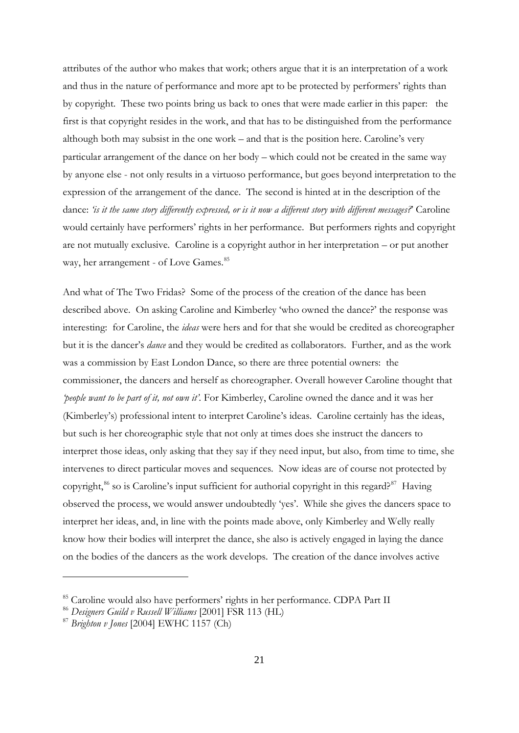attributes of the author who makes that work; others argue that it is an interpretation of a work and thus in the nature of performance and more apt to be protected by performers' rights than by copyright. These two points bring us back to ones that were made earlier in this paper: the first is that copyright resides in the work, and that has to be distinguished from the performance although both may subsist in the one work – and that is the position here. Caroline's very particular arrangement of the dance on her body – which could not be created in the same way by anyone else - not only results in a virtuoso performance, but goes beyond interpretation to the expression of the arrangement of the dance. The second is hinted at in the description of the dance: *'is it the same story differently expressed, or is it now a different story with different messages?*' Caroline would certainly have performers' rights in her performance. But performers rights and copyright are not mutually exclusive. Caroline is a copyright author in her interpretation – or put another way, her arrangement - of Love Games.<sup>85</sup>

And what of The Two Fridas? Some of the process of the creation of the dance has been described above. On asking Caroline and Kimberley 'who owned the dance?' the response was interesting: for Caroline, the *ideas* were hers and for that she would be credited as choreographer but it is the dancer's *dance* and they would be credited as collaborators. Further, and as the work was a commission by East London Dance, so there are three potential owners: the commissioner, the dancers and herself as choreographer. Overall however Caroline thought that *'people want to be part of it, not own it'.* For Kimberley, Caroline owned the dance and it was her (Kimberley's) professional intent to interpret Caroline's ideas. Caroline certainly has the ideas, but such is her choreographic style that not only at times does she instruct the dancers to interpret those ideas, only asking that they say if they need input, but also, from time to time, she intervenes to direct particular moves and sequences. Now ideas are of course not protected by copyright,<sup>86</sup> so is Caroline's input sufficient for authorial copyright in this regard?<sup>[87](#page-21-1)</sup> Having observed the process, we would answer undoubtedly 'yes'. While she gives the dancers space to interpret her ideas, and, in line with the points made above, only Kimberley and Welly really know how their bodies will interpret the dance, she also is actively engaged in laying the dance on the bodies of the dancers as the work develops. The creation of the dance involves active

<span id="page-21-2"></span><sup>85</sup> Caroline would also have performers' rights in her performance. CDPA Part II

<span id="page-21-0"></span><sup>86</sup> *Designers Guild v Russell Williams* [2001] FSR 113 (HL)

<span id="page-21-1"></span><sup>87</sup> *Brighton v Jones* [2004] EWHC 1157 (Ch)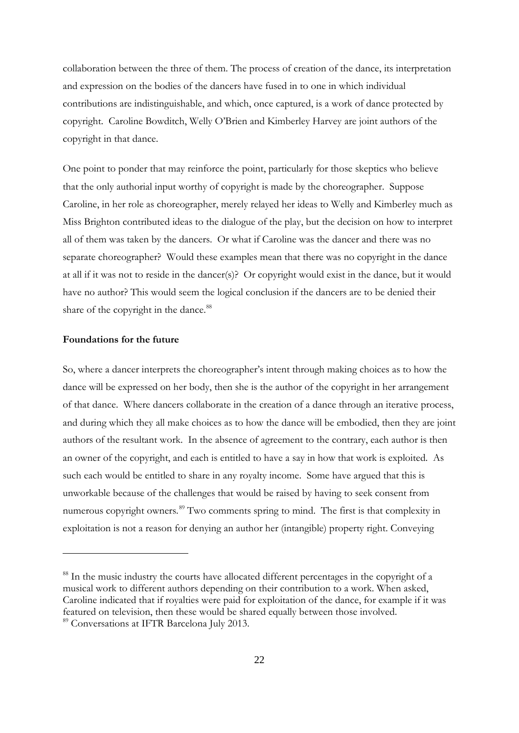collaboration between the three of them. The process of creation of the dance, its interpretation and expression on the bodies of the dancers have fused in to one in which individual contributions are indistinguishable, and which, once captured, is a work of dance protected by copyright. Caroline Bowditch, Welly O'Brien and Kimberley Harvey are joint authors of the copyright in that dance.

One point to ponder that may reinforce the point, particularly for those skeptics who believe that the only authorial input worthy of copyright is made by the choreographer. Suppose Caroline, in her role as choreographer, merely relayed her ideas to Welly and Kimberley much as Miss Brighton contributed ideas to the dialogue of the play, but the decision on how to interpret all of them was taken by the dancers. Or what if Caroline was the dancer and there was no separate choreographer? Would these examples mean that there was no copyright in the dance at all if it was not to reside in the dancer(s)? Or copyright would exist in the dance, but it would have no author? This would seem the logical conclusion if the dancers are to be denied their share of the copyright in the dance.<sup>[88](#page-21-2)</sup>

#### **Foundations for the future**

-

<span id="page-22-1"></span>So, where a dancer interprets the choreographer's intent through making choices as to how the dance will be expressed on her body, then she is the author of the copyright in her arrangement of that dance. Where dancers collaborate in the creation of a dance through an iterative process, and during which they all make choices as to how the dance will be embodied, then they are joint authors of the resultant work. In the absence of agreement to the contrary, each author is then an owner of the copyright, and each is entitled to have a say in how that work is exploited. As such each would be entitled to share in any royalty income. Some have argued that this is unworkable because of the challenges that would be raised by having to seek consent from numerous copyright owners.<sup>[89](#page-22-0)</sup> Two comments spring to mind. The first is that complexity in exploitation is not a reason for denying an author her (intangible) property right. Conveying

<span id="page-22-0"></span><sup>&</sup>lt;sup>88</sup> In the music industry the courts have allocated different percentages in the copyright of a musical work to different authors depending on their contribution to a work. When asked, Caroline indicated that if royalties were paid for exploitation of the dance, for example if it was featured on television, then these would be shared equally between those involved. <sup>89</sup> Conversations at IFTR Barcelona July 2013.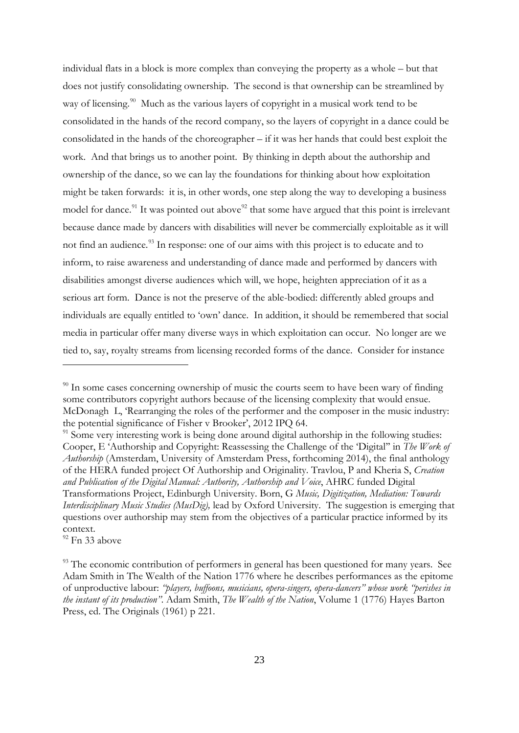individual flats in a block is more complex than conveying the property as a whole – but that does not justify consolidating ownership. The second is that ownership can be streamlined by way of licensing.<sup>90</sup> Much as the various layers of copyright in a musical work tend to be consolidated in the hands of the record company, so the layers of copyright in a dance could be consolidated in the hands of the choreographer – if it was her hands that could best exploit the work. And that brings us to another point. By thinking in depth about the authorship and ownership of the dance, so we can lay the foundations for thinking about how exploitation might be taken forwards: it is, in other words, one step along the way to developing a business model for dance.<sup>91</sup> It was pointed out above<sup>[92](#page-23-1)</sup> that some have argued that this point is irrelevant because dance made by dancers with disabilities will never be commercially exploitable as it will not find an audience.<sup>93</sup> In response: one of our aims with this project is to educate and to inform, to raise awareness and understanding of dance made and performed by dancers with disabilities amongst diverse audiences which will, we hope, heighten appreciation of it as a serious art form. Dance is not the preserve of the able-bodied: differently abled groups and individuals are equally entitled to 'own' dance. In addition, it should be remembered that social media in particular offer many diverse ways in which exploitation can occur. No longer are we tied to, say, royalty streams from licensing recorded forms of the dance. Consider for instance

<span id="page-23-1"></span> $92$  Fn 33 above

 $90$  In some cases concerning ownership of music the courts seem to have been wary of finding some contributors copyright authors because of the licensing complexity that would ensue. McDonagh L, 'Rearranging the roles of the performer and the composer in the music industry: the potential significance of Fisher v Brooker', 2012 IPQ 64.<br><sup>91</sup> Some very interesting work is being done around digital authorship in the following studies:

<span id="page-23-0"></span>Cooper, E 'Authorship and Copyright: Reassessing the Challenge of the 'Digital'' in *The Work of Authorship* (Amsterdam, University of Amsterdam Press, forthcoming 2014), the final anthology of the HERA funded project Of Authorship and Originality. Travlou, P and Kheria S, *Creation and Publication of the Digital Manual: Authority, Authorship and Voice*, AHRC funded Digital Transformations Project, Edinburgh University. Born, G *Music, Digitization, Mediation: Towards Interdisciplinary Music Studies (MusDig),* lead by Oxford University. The suggestion is emerging that questions over authorship may stem from the objectives of a particular practice informed by its context.

<span id="page-23-3"></span><span id="page-23-2"></span><sup>&</sup>lt;sup>93</sup> The economic contribution of performers in general has been questioned for many years. See Adam Smith in The Wealth of the Nation 1776 where he describes performances as the epitome of unproductive labour: *"players, buffoons, musicians, opera-singers, opera-dancers" whose work "perishes in the instant of its production".* Adam Smith, *The Wealth of the Nation*, Volume 1 (1776) Hayes Barton Press, ed. The Originals (1961) p 221.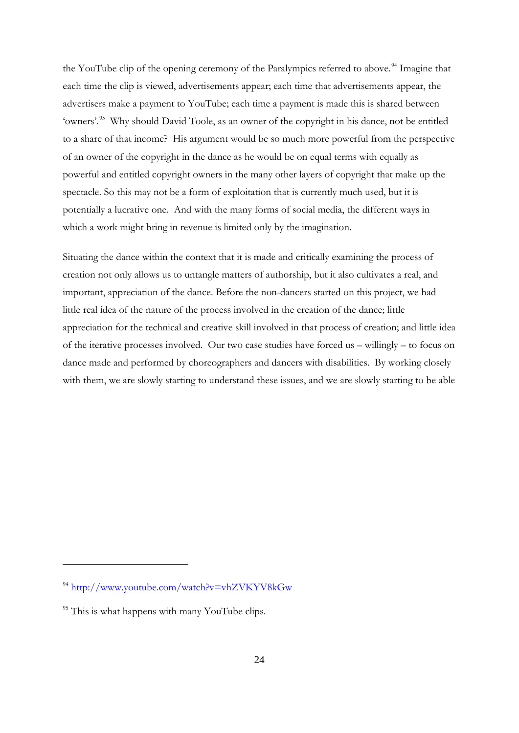the YouTube clip of the opening ceremony of the Paralympics referred to above.<sup>[94](#page-23-3)</sup> Imagine that each time the clip is viewed, advertisements appear; each time that advertisements appear, the advertisers make a payment to YouTube; each time a payment is made this is shared between 'owners'.[95](#page-24-0) Why should David Toole, as an owner of the copyright in his dance, not be entitled to a share of that income? His argument would be so much more powerful from the perspective of an owner of the copyright in the dance as he would be on equal terms with equally as powerful and entitled copyright owners in the many other layers of copyright that make up the spectacle. So this may not be a form of exploitation that is currently much used, but it is potentially a lucrative one. And with the many forms of social media, the different ways in which a work might bring in revenue is limited only by the imagination.

Situating the dance within the context that it is made and critically examining the process of creation not only allows us to untangle matters of authorship, but it also cultivates a real, and important, appreciation of the dance. Before the non-dancers started on this project, we had little real idea of the nature of the process involved in the creation of the dance; little appreciation for the technical and creative skill involved in that process of creation; and little idea of the iterative processes involved. Our two case studies have forced us – willingly – to focus on dance made and performed by choreographers and dancers with disabilities. By working closely with them, we are slowly starting to understand these issues, and we are slowly starting to be able

<span id="page-24-1"></span><sup>94</sup> <http://www.youtube.com/watch?v=vhZVKYV8kGw>

<span id="page-24-0"></span><sup>&</sup>lt;sup>95</sup> This is what happens with many YouTube clips.